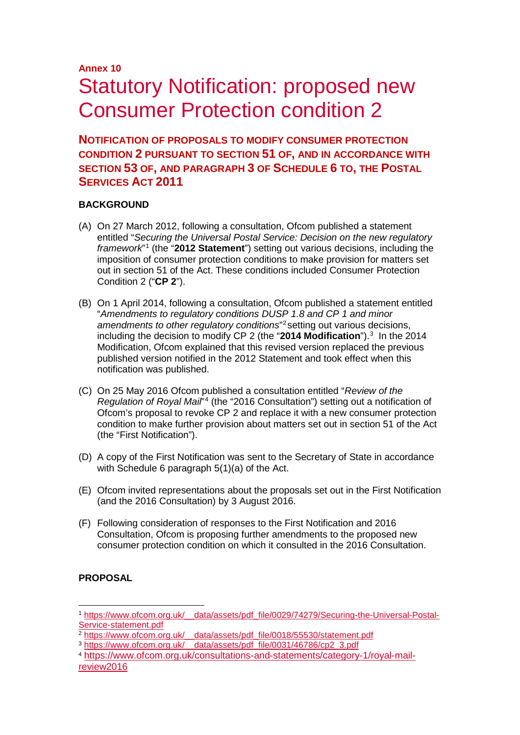# **Annex 10** Statutory Notification: proposed new Consumer Protection condition 2

**NOTIFICATION OF PROPOSALS TO MODIFY CONSUMER PROTECTION CONDITION 2 PURSUANT TO SECTION 51 OF, AND IN ACCORDANCE WITH SECTION 53 OF, AND PARAGRAPH 3 OF SCHEDULE 6 TO, THE POSTAL SERVICES ACT 2011**

## **BACKGROUND**

- (A) On 27 March 2012, following a consultation, Ofcom published a statement entitled "*Securing the Universal Postal Service: Decision on the new regulatory framework*"[1](#page-0-0) (the "**2012 Statement**") setting out various decisions, including the imposition of consumer protection conditions to make provision for matters set out in section 51 of the Act. These conditions included Consumer Protection Condition 2 ("**CP 2**").
- (B) On 1 April 2014, following a consultation, Ofcom published a statement entitled "*Amendments to regulatory conditions DUSP 1.8 and CP 1 and minor amendments to other regulatory conditions*"[2](#page-0-1) setting out various decisions, including the decision to modify CP 2 (the "**2014 Modification**").[3](#page-0-2) In the 2014 Modification, Ofcom explained that this revised version replaced the previous published version notified in the 2012 Statement and took effect when this notification was published.
- (C) On 25 May 2016 Ofcom published a consultation entitled "*Review of the Regulation of Royal Mail*"[4](#page-0-3) (the "2016 Consultation") setting out a notification of Ofcom's proposal to revoke CP 2 and replace it with a new consumer protection condition to make further provision about matters set out in section 51 of the Act (the "First Notification").
- (D) A copy of the First Notification was sent to the Secretary of State in accordance with Schedule 6 paragraph 5(1)(a) of the Act.
- (E) Ofcom invited representations about the proposals set out in the First Notification (and the 2016 Consultation) by 3 August 2016.
- (F) Following consideration of responses to the First Notification and 2016 Consultation, Ofcom is proposing further amendments to the proposed new consumer protection condition on which it consulted in the 2016 Consultation.

## **PROPOSAL**

<span id="page-0-0"></span> <sup>1</sup> [https://www.ofcom.org.uk/\\_\\_data/assets/pdf\\_file/0029/74279/Securing-the-Universal-Postal-](https://www.ofcom.org.uk/__data/assets/pdf_file/0029/74279/Securing-the-Universal-Postal-Service-statement.pdf)[Service-statement.pdf](https://www.ofcom.org.uk/__data/assets/pdf_file/0029/74279/Securing-the-Universal-Postal-Service-statement.pdf)<br>
<sup>2</sup> https://www.ofcom.org.uk/ data/assets/pdf file/0018/55530/statement.pdf

<span id="page-0-1"></span>

<span id="page-0-2"></span><sup>&</sup>lt;sup>3</sup> https://www.ofcom.org.uk/ data/assets/pdf\_file/0031/46786/cp2\_3.pdf

<span id="page-0-3"></span><sup>4</sup> [https://www.ofcom.org.uk/consultations-and-statements/category-1/royal-mail](https://www.ofcom.org.uk/consultations-and-statements/category-1/royal-mail-review2016)[review2016](https://www.ofcom.org.uk/consultations-and-statements/category-1/royal-mail-review2016)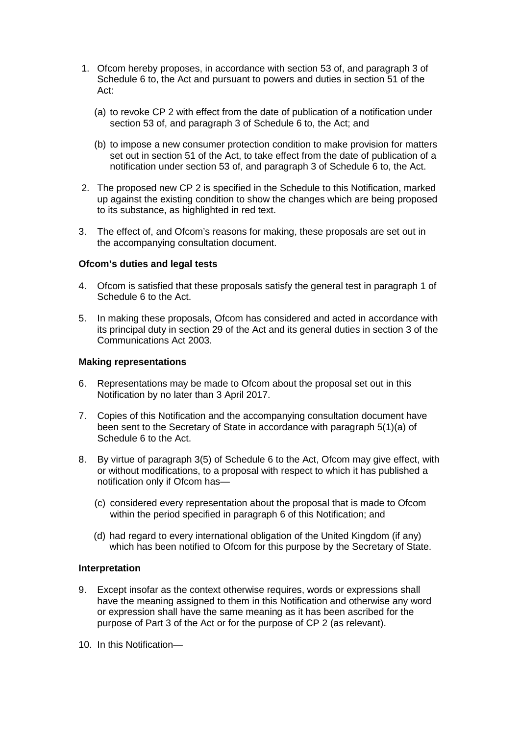- 1. Ofcom hereby proposes, in accordance with section 53 of, and paragraph 3 of Schedule 6 to, the Act and pursuant to powers and duties in section 51 of the Act:
	- (a) to revoke CP 2 with effect from the date of publication of a notification under section 53 of, and paragraph 3 of Schedule 6 to, the Act; and
	- (b) to impose a new consumer protection condition to make provision for matters set out in section 51 of the Act, to take effect from the date of publication of a notification under section 53 of, and paragraph 3 of Schedule 6 to, the Act.
- 2. The proposed new CP 2 is specified in the Schedule to this Notification, marked up against the existing condition to show the changes which are being proposed to its substance, as highlighted in red text.
- 3. The effect of, and Ofcom's reasons for making, these proposals are set out in the accompanying consultation document.

## **Ofcom's duties and legal tests**

- 4. Ofcom is satisfied that these proposals satisfy the general test in paragraph 1 of Schedule 6 to the Act.
- 5. In making these proposals, Ofcom has considered and acted in accordance with its principal duty in section 29 of the Act and its general duties in section 3 of the Communications Act 2003.

## **Making representations**

- 6. Representations may be made to Ofcom about the proposal set out in this Notification by no later than 3 April 2017.
- 7. Copies of this Notification and the accompanying consultation document have been sent to the Secretary of State in accordance with paragraph 5(1)(a) of Schedule 6 to the Act.
- 8. By virtue of paragraph 3(5) of Schedule 6 to the Act, Ofcom may give effect, with or without modifications, to a proposal with respect to which it has published a notification only if Ofcom has—
	- (c) considered every representation about the proposal that is made to Ofcom within the period specified in paragraph 6 of this Notification; and
	- (d) had regard to every international obligation of the United Kingdom (if any) which has been notified to Ofcom for this purpose by the Secretary of State.

## **Interpretation**

- 9. Except insofar as the context otherwise requires, words or expressions shall have the meaning assigned to them in this Notification and otherwise any word or expression shall have the same meaning as it has been ascribed for the purpose of Part 3 of the Act or for the purpose of CP 2 (as relevant).
- 10. In this Notification—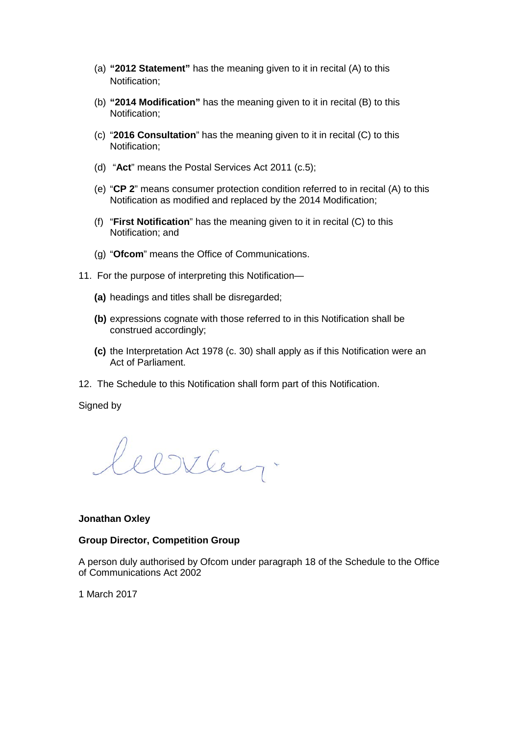- (a) **"2012 Statement"** has the meaning given to it in recital (A) to this Notification;
- (b) **"2014 Modification"** has the meaning given to it in recital (B) to this Notification;
- (c) "**2016 Consultation**" has the meaning given to it in recital (C) to this Notification;
- (d) "**Act**" means the Postal Services Act 2011 (c.5);
- (e) "**CP 2**" means consumer protection condition referred to in recital (A) to this Notification as modified and replaced by the 2014 Modification;
- (f) "**First Notification**" has the meaning given to it in recital (C) to this Notification; and
- (g) "**Ofcom**" means the Office of Communications.
- 11. For the purpose of interpreting this Notification—
	- **(a)** headings and titles shall be disregarded;
	- **(b)** expressions cognate with those referred to in this Notification shall be construed accordingly;
	- **(c)** the Interpretation Act 1978 (c. 30) shall apply as if this Notification were an Act of Parliament.
- 12. The Schedule to this Notification shall form part of this Notification.

Signed by

Clitten.

#### **Jonathan Oxley**

### **Group Director, Competition Group**

A person duly authorised by Ofcom under paragraph 18 of the Schedule to the Office of Communications Act 2002

1 March 2017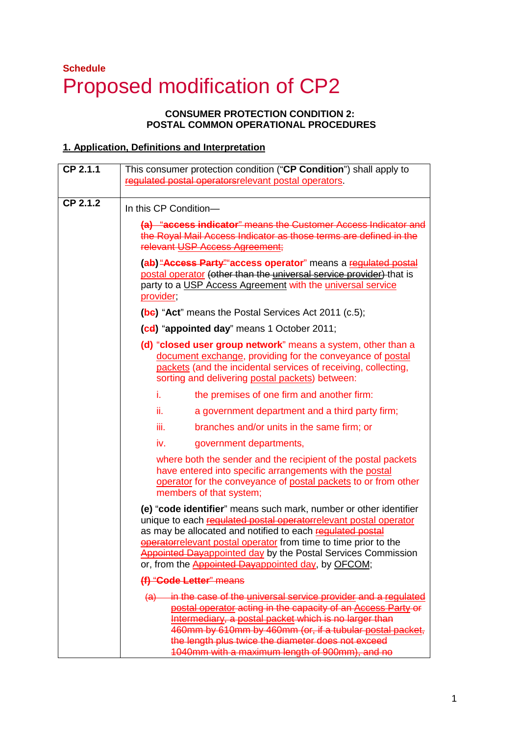## **Schedule**  Proposed modification of CP2

## **CONSUMER PROTECTION CONDITION 2: POSTAL COMMON OPERATIONAL PROCEDURES**

## **1. Application, Definitions and Interpretation**

| CP 2.1.1 | This consumer protection condition ("CP Condition") shall apply to<br>regulated postal operators relevant postal operators.                                                                                                                                                                                                                                                                                |  |  |  |
|----------|------------------------------------------------------------------------------------------------------------------------------------------------------------------------------------------------------------------------------------------------------------------------------------------------------------------------------------------------------------------------------------------------------------|--|--|--|
| CP 2.1.2 | In this CP Condition-                                                                                                                                                                                                                                                                                                                                                                                      |  |  |  |
|          | (a) "access indicator" means the Customer Access Indicator and<br>the Royal Mail Access Indicator as those terms are defined in the<br>relevant USP Access Agreement;                                                                                                                                                                                                                                      |  |  |  |
|          | (ab) "Access Party" access operator" means a regulated postal<br>postal operator (other than the universal service provider) that is<br>party to a USP Access Agreement with the universal service<br>provider;                                                                                                                                                                                            |  |  |  |
|          | (be) "Act" means the Postal Services Act 2011 (c.5);                                                                                                                                                                                                                                                                                                                                                       |  |  |  |
|          | (cd) "appointed day" means 1 October 2011;                                                                                                                                                                                                                                                                                                                                                                 |  |  |  |
|          | (d) "closed user group network" means a system, other than a<br>document exchange, providing for the conveyance of postal<br>packets (and the incidental services of receiving, collecting,<br>sorting and delivering postal packets) between:                                                                                                                                                             |  |  |  |
|          | i.<br>the premises of one firm and another firm:                                                                                                                                                                                                                                                                                                                                                           |  |  |  |
|          | ii.<br>a government department and a third party firm;                                                                                                                                                                                                                                                                                                                                                     |  |  |  |
|          | iii.<br>branches and/or units in the same firm; or                                                                                                                                                                                                                                                                                                                                                         |  |  |  |
|          | iv.<br>government departments,                                                                                                                                                                                                                                                                                                                                                                             |  |  |  |
|          | where both the sender and the recipient of the postal packets<br>have entered into specific arrangements with the postal<br>operator for the conveyance of postal packets to or from other<br>members of that system;                                                                                                                                                                                      |  |  |  |
|          | (e) "code identifier" means such mark, number or other identifier<br>unique to each regulated postal operatorrelevant postal operator<br>as may be allocated and notified to each regulated postal<br>operatorrelevant postal operator from time to time prior to the<br><b>Appointed Dayappointed day by the Postal Services Commission</b><br>or, from the <b>Appointed Dayappointed day</b> , by OFCOM; |  |  |  |
|          | (f) "Code Letter" means                                                                                                                                                                                                                                                                                                                                                                                    |  |  |  |
|          | in the case of the universal service provider and a regulated<br><del>(a)</del><br>postal operator acting in the capacity of an Access Party or<br>Intermediary, a postal packet which is no larger than<br>460mm by 610mm by 460mm (or, if a tubular postal packet,<br>the length plus twice the diameter does not exceed<br>1040mm with a maximum length of 900mm), and no                               |  |  |  |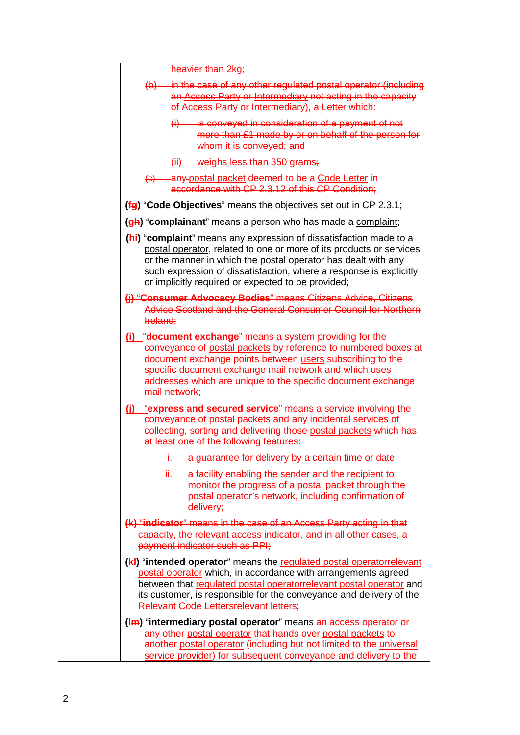| heavier than 2kg;                                                                                                                                                                                                                                                                                                                      |
|----------------------------------------------------------------------------------------------------------------------------------------------------------------------------------------------------------------------------------------------------------------------------------------------------------------------------------------|
| (b) in the case of any other regulated postal operator (including<br>an Access Party or Intermediary not acting in the capacity<br>of Access Party or Intermediary), a Letter which:                                                                                                                                                   |
| $(i)$ is conveyed in consideration of a payment of not<br>more than £1 made by or on behalf of the person for<br>whom it is conveyed; and                                                                                                                                                                                              |
| $(iii)$ weighs less than 350 grams;                                                                                                                                                                                                                                                                                                    |
| (c) any postal packet deemed to be a Code Letter in<br>accordance with CP 2.3.12 of this CP Condition;                                                                                                                                                                                                                                 |
| (fg) "Code Objectives" means the objectives set out in CP 2.3.1;                                                                                                                                                                                                                                                                       |
| (gh) "complainant" means a person who has made a complaint;                                                                                                                                                                                                                                                                            |
| (hi) "complaint" means any expression of dissatisfaction made to a<br>postal operator, related to one or more of its products or services<br>or the manner in which the postal operator has dealt with any<br>such expression of dissatisfaction, where a response is explicitly<br>or implicitly required or expected to be provided; |
| (j) "Consumer Advocacy Bodies" means Citizens Advice, Citizens<br>Advice Scotland and the General Consumer Council for Northern<br>Ireland;                                                                                                                                                                                            |
| (i) "document exchange" means a system providing for the<br>conveyance of postal packets by reference to numbered boxes at<br>document exchange points between users subscribing to the<br>specific document exchange mail network and which uses<br>addresses which are unique to the specific document exchange<br>mail network;     |
| (j) "express and secured service" means a service involving the<br>conveyance of postal packets and any incidental services of<br>collecting, sorting and delivering those postal packets which has<br>at least one of the following features:                                                                                         |
| i.<br>a guarantee for delivery by a certain time or date;                                                                                                                                                                                                                                                                              |
| ii.<br>a facility enabling the sender and the recipient to<br>monitor the progress of a postal packet through the<br>postal operator's network, including confirmation of<br>delivery;                                                                                                                                                 |
| (k) "indicator" means in the case of an Access Party acting in that<br>capacity, the relevant access indicator, and in all other cases, a<br>payment indicator such as PPI;                                                                                                                                                            |
| (k!) "intended operator" means the regulated postal operatorrelevant<br>postal operator which, in accordance with arrangements agreed<br>between that regulated postal operatorrelevant postal operator and<br>its customer, is responsible for the conveyance and delivery of the<br><b>Relevant Code Lettersrelevant letters;</b>    |
| (Im) "intermediary postal operator" means an access operator or<br>any other postal operator that hands over postal packets to<br>another postal operator (including but not limited to the <i>universal</i><br>service provider) for subsequent conveyance and delivery to the                                                        |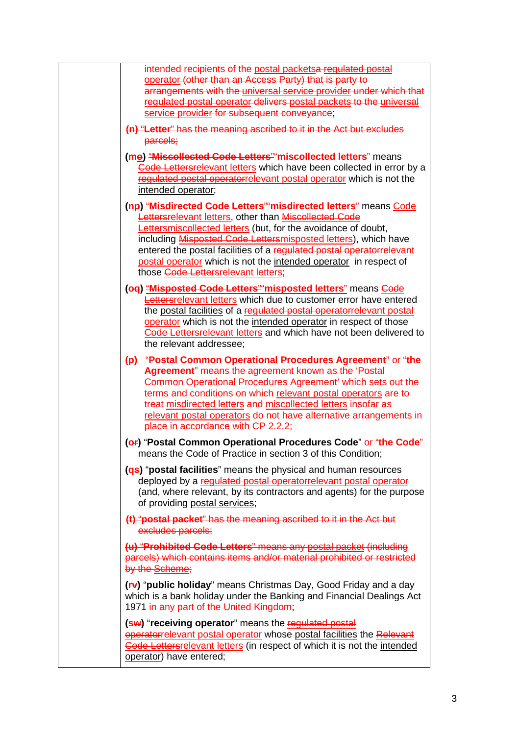| intended recipients of the postal packetsa requlated postal<br>operator (other than an Access Party) that is party to<br>arrangements with the universal service provider under which that<br>regulated postal operator delivers postal packets to the universal                                                                                                                                                                                                             |
|------------------------------------------------------------------------------------------------------------------------------------------------------------------------------------------------------------------------------------------------------------------------------------------------------------------------------------------------------------------------------------------------------------------------------------------------------------------------------|
| service provider for subsequent conveyance;                                                                                                                                                                                                                                                                                                                                                                                                                                  |
| (n) "Letter" has the meaning ascribed to it in the Act but excludes<br>parcels;                                                                                                                                                                                                                                                                                                                                                                                              |
| (me) "Miscollected Code Letters" miscollected letters" means<br>Code Lettersrelevant letters which have been collected in error by a<br>regulated postal operatorrelevant postal operator which is not the<br>intended operator;                                                                                                                                                                                                                                             |
| (np) "Misdirected Code Letters" misdirected letters" means Code<br><b>Lettersrelevant letters</b> , other than <b>Miscollected Code</b><br><b>Lettersmiscollected letters</b> (but, for the avoidance of doubt,<br>including <b>Misposted Code Lettersmisposted letters</b> ), which have<br>entered the postal facilities of a regulated postal operatorrelevant<br>postal operator which is not the intended operator in respect of<br>those Code Lettersrelevant letters: |
| (og) "Misposted Code Letters" misposted letters" means Code<br>Lettersrelevant letters which due to customer error have entered<br>the postal facilities of a regulated postal operatorrelevant postal<br>operator which is not the intended operator in respect of those<br>Gode Lettersrelevant letters and which have not been delivered to<br>the relevant addressee;                                                                                                    |
| (p) "Postal Common Operational Procedures Agreement" or "the<br>Agreement" means the agreement known as the 'Postal<br>Common Operational Procedures Agreement' which sets out the<br>terms and conditions on which relevant postal operators are to<br>treat misdirected letters and miscollected letters insofar as<br>relevant postal operators do not have alternative arrangements in<br>place in accordance with CP 2.2.2;                                             |
| (OF) "Postal Common Operational Procedures Code" or "the Code"<br>means the Code of Practice in section 3 of this Condition;                                                                                                                                                                                                                                                                                                                                                 |
| (as) "postal facilities" means the physical and human resources<br>deployed by a regulated postal operatorrelevant postal operator<br>(and, where relevant, by its contractors and agents) for the purpose<br>of providing postal services;                                                                                                                                                                                                                                  |
| (t) "postal packet" has the meaning ascribed to it in the Act but<br>excludes parcels;                                                                                                                                                                                                                                                                                                                                                                                       |
| (u) "Prohibited Code Letters" means any postal packet (including<br>parcels) which contains items and/or material prohibited or restricted<br>by the Scheme;                                                                                                                                                                                                                                                                                                                 |
| (rv) "public holiday" means Christmas Day, Good Friday and a day<br>which is a bank holiday under the Banking and Financial Dealings Act<br>1971 in any part of the United Kingdom;                                                                                                                                                                                                                                                                                          |
| (sw) "receiving operator" means the regulated postal<br><b>operatorrelevant postal operator</b> whose postal facilities the Relevant<br>Code Lettersrelevant letters (in respect of which it is not the intended<br>operator) have entered;                                                                                                                                                                                                                                  |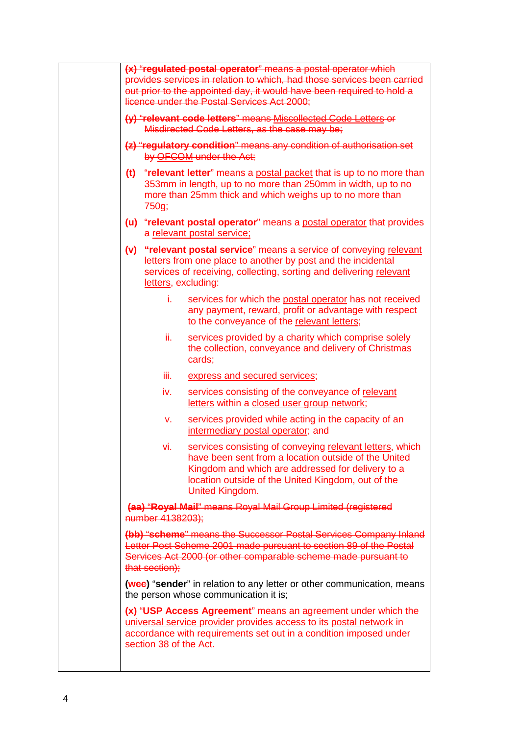|                                                                                                                                                                                                                                     |                     | (x) "regulated postal operator" means a postal operator which<br>provides services in relation to which, had those services been carried<br>out prior to the appointed day, it would have been required to hold a<br>licence under the Postal Services Act 2000; |
|-------------------------------------------------------------------------------------------------------------------------------------------------------------------------------------------------------------------------------------|---------------------|------------------------------------------------------------------------------------------------------------------------------------------------------------------------------------------------------------------------------------------------------------------|
|                                                                                                                                                                                                                                     |                     | (y) "relevant code letters" means Miscollected Code Letters or<br>Misdirected Code Letters, as the case may be;                                                                                                                                                  |
|                                                                                                                                                                                                                                     |                     | (z) "regulatory condition" means any condition of authorisation set<br>by OFCOM under the Act;                                                                                                                                                                   |
|                                                                                                                                                                                                                                     | 750g;               | (t) "relevant letter" means a postal packet that is up to no more than<br>353mm in length, up to no more than 250mm in width, up to no<br>more than 25mm thick and which weighs up to no more than                                                               |
|                                                                                                                                                                                                                                     |                     | (u) "relevant postal operator" means a postal operator that provides<br>a relevant postal service;                                                                                                                                                               |
|                                                                                                                                                                                                                                     | letters, excluding: | (v) "relevant postal service" means a service of conveying relevant<br>letters from one place to another by post and the incidental<br>services of receiving, collecting, sorting and delivering relevant                                                        |
|                                                                                                                                                                                                                                     | i.                  | services for which the postal operator has not received<br>any payment, reward, profit or advantage with respect<br>to the conveyance of the relevant letters;                                                                                                   |
|                                                                                                                                                                                                                                     | ii.                 | services provided by a charity which comprise solely<br>the collection, conveyance and delivery of Christmas<br>cards;                                                                                                                                           |
|                                                                                                                                                                                                                                     | iii.                | express and secured services;                                                                                                                                                                                                                                    |
|                                                                                                                                                                                                                                     | iv.                 | services consisting of the conveyance of relevant<br>letters within a closed user group network;                                                                                                                                                                 |
|                                                                                                                                                                                                                                     | V.                  | services provided while acting in the capacity of an<br>intermediary postal operator; and                                                                                                                                                                        |
|                                                                                                                                                                                                                                     | VI.                 | services consisting of conveying relevant letters, which<br>have been sent from a location outside of the United<br>Kingdom and which are addressed for delivery to a<br>location outside of the United Kingdom, out of the<br>United Kingdom.                   |
|                                                                                                                                                                                                                                     | number 4138203);    | (aa) "Royal Mail" means Royal Mail Group Limited (registered                                                                                                                                                                                                     |
|                                                                                                                                                                                                                                     | that section);      | (bb) "scheme" means the Successor Postal Services Company Inland<br>Letter Post Scheme 2001 made pursuant to section 89 of the Postal<br>Services Act 2000 (or other comparable scheme made pursuant to                                                          |
|                                                                                                                                                                                                                                     |                     | (wee) "sender" in relation to any letter or other communication, means<br>the person whose communication it is;                                                                                                                                                  |
| (x) "USP Access Agreement" means an agreement under which the<br>universal service provider provides access to its postal network in<br>accordance with requirements set out in a condition imposed under<br>section 38 of the Act. |                     |                                                                                                                                                                                                                                                                  |
|                                                                                                                                                                                                                                     |                     |                                                                                                                                                                                                                                                                  |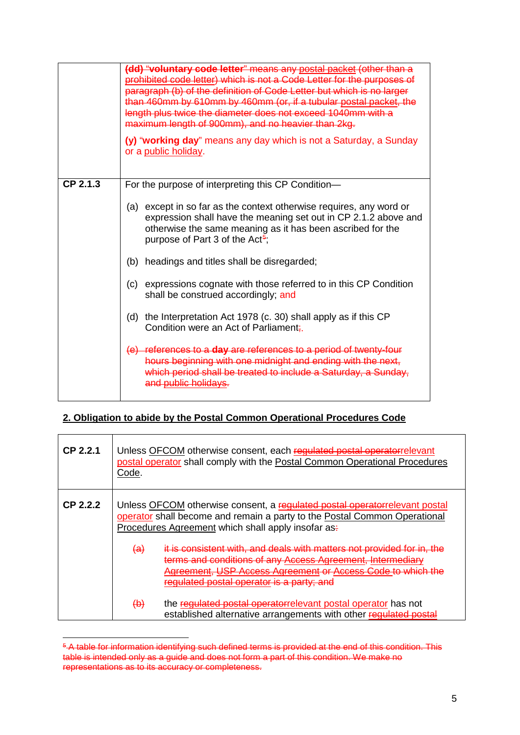|          | (dd) "voluntary code letter" means any postal packet (other than a<br>prohibited code letter) which is not a Code Letter for the purposes of<br>paragraph (b) of the definition of Code Letter but which is no larger<br>than 460mm by 610mm by 460mm (or, if a tubular postal packet, the<br>length plus twice the diameter does not exceed 1040mm with a<br>maximum length of 900mm), and no heavier than 2kg.<br>(y) "working day" means any day which is not a Saturday, a Sunday<br>or a public holiday. |
|----------|---------------------------------------------------------------------------------------------------------------------------------------------------------------------------------------------------------------------------------------------------------------------------------------------------------------------------------------------------------------------------------------------------------------------------------------------------------------------------------------------------------------|
| CP 2.1.3 | For the purpose of interpreting this CP Condition-                                                                                                                                                                                                                                                                                                                                                                                                                                                            |
|          | (a) except in so far as the context otherwise requires, any word or<br>expression shall have the meaning set out in CP 2.1.2 above and<br>otherwise the same meaning as it has been ascribed for the<br>purpose of Part 3 of the Act <sup>5</sup> ;                                                                                                                                                                                                                                                           |
|          | (b) headings and titles shall be disregarded;                                                                                                                                                                                                                                                                                                                                                                                                                                                                 |
|          | expressions cognate with those referred to in this CP Condition<br>(c)<br>shall be construed accordingly; and                                                                                                                                                                                                                                                                                                                                                                                                 |
|          | (d) the Interpretation Act 1978 (c. 30) shall apply as if this CP<br>Condition were an Act of Parliament.                                                                                                                                                                                                                                                                                                                                                                                                     |
|          | (e) references to a day are references to a period of twenty-four<br>hours beginning with one midnight and ending with the next,<br>which period shall be treated to include a Saturday, a Sunday,<br>and public holidays.                                                                                                                                                                                                                                                                                    |

## **2. Obligation to abide by the Postal Common Operational Procedures Code**

| CP 2.2.1   | Code.                                  | Unless OFCOM otherwise consent, each regulated postal operatorrelevant<br>postal operator shall comply with the Postal Common Operational Procedures                                                                                                                                                                                                                                                                                                                                                                                                                                        |
|------------|----------------------------------------|---------------------------------------------------------------------------------------------------------------------------------------------------------------------------------------------------------------------------------------------------------------------------------------------------------------------------------------------------------------------------------------------------------------------------------------------------------------------------------------------------------------------------------------------------------------------------------------------|
| $CP$ 2.2.2 | $\left( a\right)$<br>$\leftrightarrow$ | Unless OFCOM otherwise consent, a regulated postal operatorrelevant postal<br>operator shall become and remain a party to the Postal Common Operational<br>Procedures Agreement which shall apply insofar as-<br>it is consistent with, and deals with matters not provided for in. the<br>terms and conditions of any Access Agreement, Intermediary<br>Agreement, USP Access Agreement or Access Code to wh<br>lated postal operator is a party; and<br>the regulated postal operatorrelevant postal operator has not<br>established alternative arrangements with other regulated postal |

<span id="page-8-0"></span><sup>&</sup>lt;sup>5</sup>-A table for information identifying such defined terms is provided at the end of this condition. This table is intended only as a guide and does not form a part of this condition. We make no representations as to its accuracy or completeness.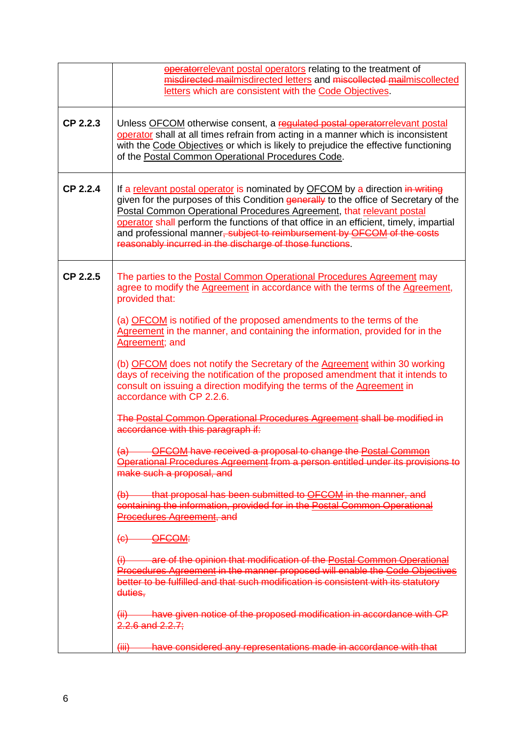|          | operatorrelevant postal operators relating to the treatment of<br>misdirected mailmisdirected letters and miscollected mailmiscollected<br>letters which are consistent with the Code Objectives.                                                                                                                                                                                                                                                                              |
|----------|--------------------------------------------------------------------------------------------------------------------------------------------------------------------------------------------------------------------------------------------------------------------------------------------------------------------------------------------------------------------------------------------------------------------------------------------------------------------------------|
| CP 2.2.3 | Unless OFCOM otherwise consent, a regulated postal operatorrelevant postal<br>operator shall at all times refrain from acting in a manner which is inconsistent<br>with the Code Objectives or which is likely to prejudice the effective functioning<br>of the Postal Common Operational Procedures Code.                                                                                                                                                                     |
| CP 2.2.4 | If a relevant postal operator is nominated by OFCOM by a direction in writing<br>given for the purposes of this Condition generally to the office of Secretary of the<br>Postal Common Operational Procedures Agreement, that relevant postal<br>operator shall perform the functions of that office in an efficient, timely, impartial<br>and professional manner, subject to reimbursement by OFCOM of the costs<br>reasonably incurred in the discharge of those functions. |
| CP 2.2.5 | The parties to the <b>Postal Common Operational Procedures Agreement</b> may<br>agree to modify the Agreement in accordance with the terms of the Agreement,<br>provided that:                                                                                                                                                                                                                                                                                                 |
|          | (a) OFCOM is notified of the proposed amendments to the terms of the<br>Agreement in the manner, and containing the information, provided for in the<br>Agreement; and                                                                                                                                                                                                                                                                                                         |
|          | (b) OFCOM does not notify the Secretary of the Agreement within 30 working<br>days of receiving the notification of the proposed amendment that it intends to<br>consult on issuing a direction modifying the terms of the Agreement in<br>accordance with CP 2.2.6.                                                                                                                                                                                                           |
|          | The Postal Common Operational Procedures Agreement shall be modified in<br>accordance with this paragraph if:                                                                                                                                                                                                                                                                                                                                                                  |
|          | (a) OFCOM have received a proposal to change the Postal Common<br>Operational Procedures Agreement from a person entitled under its provisions to<br>make such a proposal, and                                                                                                                                                                                                                                                                                                 |
|          | (b) that proposal has been submitted to OFCOM in the manner, and<br>containing the information, provided for in the Postal Common Operational<br>Procedures Agreement, and                                                                                                                                                                                                                                                                                                     |
|          | $(e)$ OFCOM:                                                                                                                                                                                                                                                                                                                                                                                                                                                                   |
|          | are of the opinion that modification of the Postal Common Operational<br>$\theta$<br>Procedures Agreement in the manner proposed will enable the Code Objectives<br>better to be fulfilled and that such modification is consistent with its statutory<br>duties,                                                                                                                                                                                                              |
|          | (ii) have given notice of the proposed modification in accordance with CP<br>$2.2.6$ and $2.2.7$ ;                                                                                                                                                                                                                                                                                                                                                                             |
|          | have considered any representations made in accordance with that<br>$\overline{(\overline{iii})}$                                                                                                                                                                                                                                                                                                                                                                              |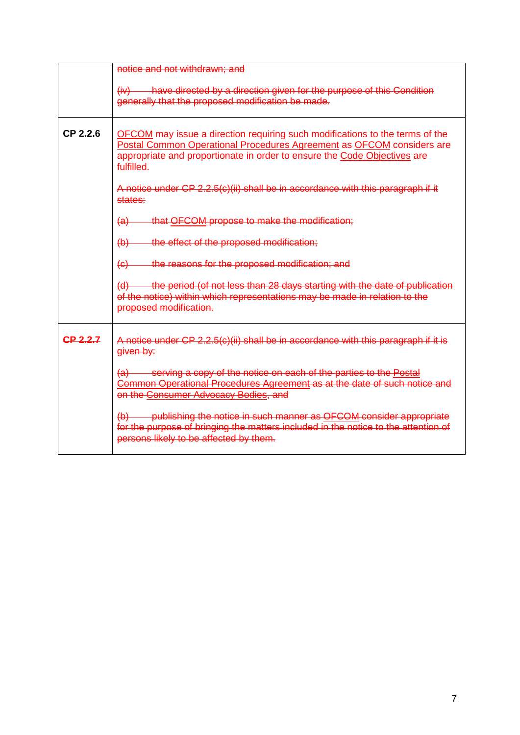|          | notice and not withdrawn; and                                                                                                                                                                                                                          |
|----------|--------------------------------------------------------------------------------------------------------------------------------------------------------------------------------------------------------------------------------------------------------|
|          | $(iv)$ have directed by a direction given for the purpose of this Condition<br>generally that the proposed modification be made.                                                                                                                       |
| CP 2.2.6 | <b>OFCOM</b> may issue a direction requiring such modifications to the terms of the<br>Postal Common Operational Procedures Agreement as OFCOM considers are<br>appropriate and proportionate in order to ensure the Code Objectives are<br>fulfilled. |
|          | A notice under CP 2.2.5(c)(ii) shall be in accordance with this paragraph if it<br>states:                                                                                                                                                             |
|          | that OFCOM propose to make the modification;<br>$\left( a\right)$                                                                                                                                                                                      |
|          | the effect of the proposed modification;<br>$\bigoplus$                                                                                                                                                                                                |
|          | the reasons for the proposed modification; and<br>$\left( e\right)$                                                                                                                                                                                    |
|          | (d) the period (of not less than 28 days starting with the date of publication<br>of the notice) within which representations may be made in relation to the<br>proposed modification.                                                                 |
| CP 2.2.7 | A notice under CP 2.2.5(c)(ii) shall be in accordance with this paragraph if it is<br>given by:                                                                                                                                                        |
|          | (a) serving a copy of the notice on each of the parties to the Postal<br>Common Operational Procedures Agreement as at the date of such notice and<br>on the Consumer Advocacy Bodies, and                                                             |
|          | (b) publishing the notice in such manner as <b>OFCOM</b> consider appropriate<br>for the purpose of bringing the matters included in the notice to the attention of<br>persons likely to be affected by them.                                          |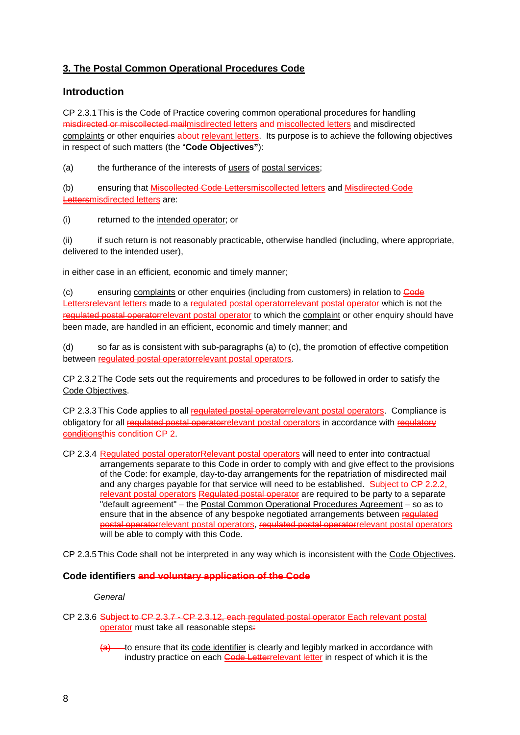## **3. The Postal Common Operational Procedures Code**

## **Introduction**

CP 2.3.1This is the Code of Practice covering common operational procedures for handling misdirected or miscollected mailmisdirected letters and miscollected letters and misdirected complaints or other enquiries about relevant letters. Its purpose is to achieve the following objectives in respect of such matters (the "**Code Objectives"**):

(a) the furtherance of the interests of users of postal services;

(b) ensuring that Miscollected Code Lettersmiscollected letters and Misdirected Code Lettersmisdirected letters are:

(i) returned to the intended operator; or

(ii) if such return is not reasonably practicable, otherwise handled (including, where appropriate, delivered to the intended user),

in either case in an efficient, economic and timely manner;

(c) ensuring complaints or other enquiries (including from customers) in relation to Code Lettersrelevant letters made to a regulated postal operatorrelevant postal operator which is not the regulated postal operatorrelevant postal operator to which the complaint or other enquiry should have been made, are handled in an efficient, economic and timely manner; and

(d) so far as is consistent with sub-paragraphs (a) to (c), the promotion of effective competition between regulated postal operatorrelevant postal operators.

CP 2.3.2The Code sets out the requirements and procedures to be followed in order to satisfy the Code Objectives.

CP 2.3.3 This Code applies to all requiated postal operatorrelevant postal operators. Compliance is obligatory for all regulated postal operatorrelevant postal operators in accordance with regulatory conditionsthis condition CP 2.

CP 2.3.4 Regulated postal operatorRelevant postal operators will need to enter into contractual arrangements separate to this Code in order to comply with and give effect to the provisions of the Code: for example, day-to-day arrangements for the repatriation of misdirected mail and any charges payable for that service will need to be established. Subject to CP 2.2.2, relevant postal operators Regulated postal operator are required to be party to a separate "default agreement" – the Postal Common Operational Procedures Agreement – so as to ensure that in the absence of any bespoke negotiated arrangements between regulated postal operatorrelevant postal operators, regulated postal operatorrelevant postal operators will be able to comply with this Code.

CP 2.3.5This Code shall not be interpreted in any way which is inconsistent with the Code Objectives.

### **Code identifiers and voluntary application of the Code**

#### *General*

- CP 2.3.6 Subject to CP 2.3.7 CP 2.3.12, each regulated postal operator Each relevant postal operator must take all reasonable steps:
	- $\overline{a}$  to ensure that its code identifier is clearly and legibly marked in accordance with industry practice on each Code Letterrelevant letter in respect of which it is the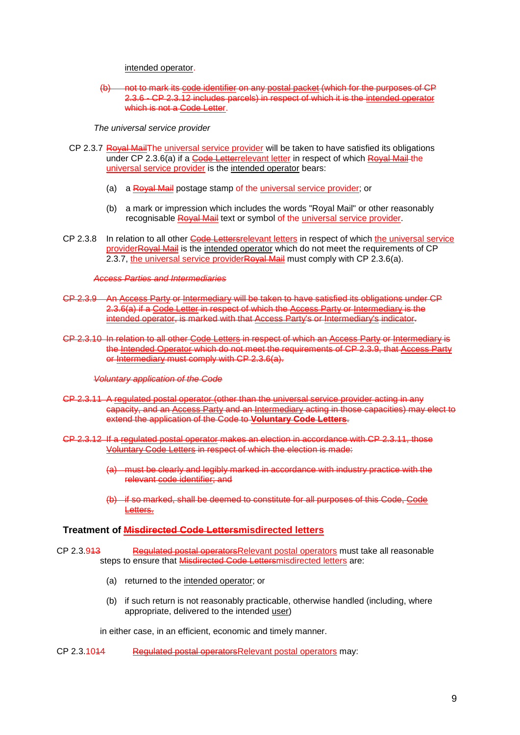intended operator.

not to mark its code identifier on any postal packet (which for the purposes of CP 2.3.6 - CP 2.3.12 includes parcels) in respect of which it is the intended operator which is not a Code Letter.

*The universal service provider*

- CP 2.3.7 Royal MailThe universal service provider will be taken to have satisfied its obligations under CP 2.3.6(a) if a Code Letterrelevant letter in respect of which Royal Mail the universal service provider is the intended operator bears:
	- (a) a Royal Mail postage stamp of the universal service provider; or
	- (b) a mark or impression which includes the words "Royal Mail" or other reasonably recognisable Royal Mail text or symbol of the universal service provider.
- CP 2.3.8 In relation to all other Code Lettersrelevant letters in respect of which the universal service providerRoyal Mail is the intended operator which do not meet the requirements of CP 2.3.7, the universal service providerRoyal Mail must comply with CP 2.3.6(a).

#### *Access Parties and Intermediaries*

- CP 2.3.9 An Access Party or Intermediary will be taken to have satisfied its obligations under CP 2.3.6(a) if a Code Letter in respect of which the Access Party or Intermediary is the intended operator, is marked with that Access Party's or Intermediary's indicator.
- CP 2.3.10 In relation to all other Code Letters in respect of which an Access Party or Intermediary is the Intended Operator which do not meet the requirements of CP 2.3.9, that Access Party or Intermediary must comply with CP 2.3.6(a).

#### *Voluntary application of the Code*

- CP 2.3.11 A regulated postal operator (other than the universal service provider acting in any capacity, and an Access Party and an Intermediary acting in those capacities) may elect to extend the application of the Code to **Voluntary Code Letters**.
- CP 2.3.12 If a regulated postal operator makes an election in accordance with CP 2.3.11, those Voluntary Code Letters in respect of which the election is made:
	- (a) must be clearly and legibly marked in accordance with industry practice with the relevant code identifier; and
	- (b) if so marked, shall be deemed to constitute for all purposes of this Code, Code Letters.

#### **Treatment of Misdirected Code Lettersmisdirected letters**

CP 2.3.913 Regulated postal operatorsRelevant postal operators must take all reasonable steps to ensure that Misdirected Code Lettersmisdirected letters are:

- (a) returned to the intended operator; or
- (b) if such return is not reasonably practicable, otherwise handled (including, where appropriate, delivered to the intended user)

in either case, in an efficient, economic and timely manner.

CP 2.3.1044 Regulated postal operatorsRelevant postal operators may: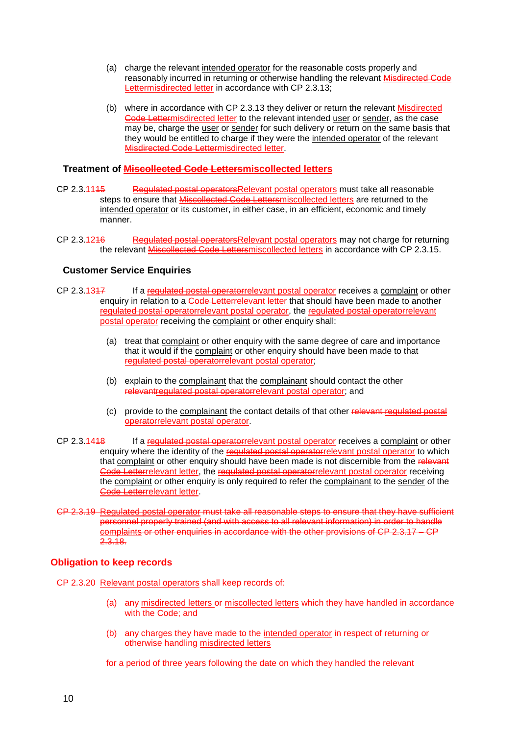- (a) charge the relevant intended operator for the reasonable costs properly and reasonably incurred in returning or otherwise handling the relevant Misdirected Code Lettermisdirected letter in accordance with CP 2.3.13;
- (b) where in accordance with CP 2.3.13 they deliver or return the relevant Misdirected Code Lettermisdirected letter to the relevant intended user or sender, as the case may be, charge the user or sender for such delivery or return on the same basis that they would be entitled to charge if they were the intended operator of the relevant Misdirected Code Lettermisdirected letter.

## **Treatment of Miscollected Code Lettersmiscollected letters**

- CP 2.3.1145 Regulated postal operators Relevant postal operators must take all reasonable steps to ensure that **Miscollected Code Lettersmiscollected letters** are returned to the intended operator or its customer, in either case, in an efficient, economic and timely manner.
- CP 2.3.1246 Regulated postal operators Relevant postal operators may not charge for returning the relevant Miscollected Code Lettersmiscollected letters in accordance with CP 2.3.15.

## **Customer Service Enquiries**

- CP 2.3.1347 If a regulated postal operatorrelevant postal operator receives a complaint or other enquiry in relation to a **Code Letterrelevant letter** that should have been made to another regulated postal operatorrelevant postal operator, the regulated postal operatorrelevant postal operator receiving the complaint or other enquiry shall:
	- (a) treat that complaint or other enquiry with the same degree of care and importance that it would if the complaint or other enquiry should have been made to that regulated postal operatorrelevant postal operator;
	- (b) explain to the complainant that the complainant should contact the other relevantregulated postal operatorrelevant postal operator; and
	- (c) provide to the complainant the contact details of that other relevant regulated postal operatorrelevant postal operator.
- CP 2.3.1418 If a regulated postal operatorrelevant postal operator receives a complaint or other enquiry where the identity of the regulated postal operatorrelevant postal operator to which that complaint or other enquiry should have been made is not discernible from the relevant Code Letterrelevant letter, the regulated postal operatorrelevant postal operator receiving the complaint or other enquiry is only required to refer the complainant to the sender of the Code Letterrelevant letter.
- CP 2.3.19 Regulated postal operator must take all reasonable steps to ensure that they have sufficient personnel properly trained (and with access to all relevant information) in order to handle complaints or other enquiries in accordance with the other provisions of CP 2.3.17 – CP 2.3.18.

### **Obligation to keep records**

- CP 2.3.20 Relevant postal operators shall keep records of:
	- (a) any misdirected letters or miscollected letters which they have handled in accordance with the Code; and
	- (b) any charges they have made to the intended operator in respect of returning or otherwise handling misdirected letters

for a period of three years following the date on which they handled the relevant